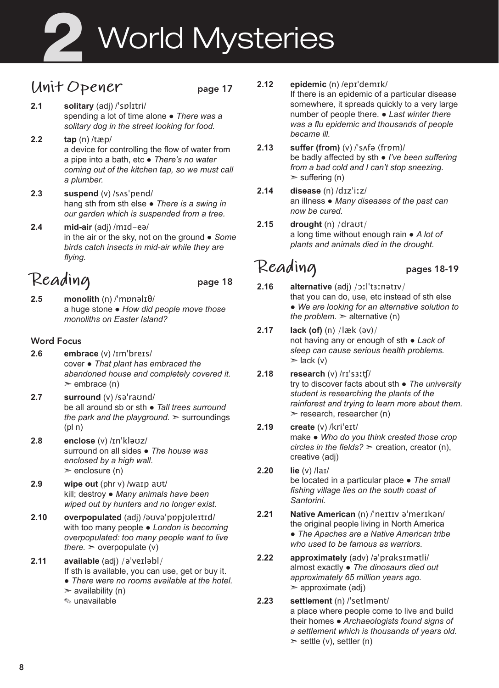# **2** World Mysteries

# **Unit Opener** page 17

- **2.1 solitary** (adj) /ˈsɒlɪtri/ spending a lot of time alone ● *There was a solitary dog in the street looking for food.*
- **2.2 tap** (n) /tæp/ a device for controlling the flow of water from a pipe into a bath, etc ● *There's no water coming out of the kitchen tap, so we must call a plumber.*
- **2.3 suspend** (v) /sʌsˈpend/ hang sth from sth else ● *There is a swing in our garden which is suspended from a tree.*
- **2.4 mid-air** (adj) /mɪd-eə/ in the air or the sky, not on the ground ● *Some birds catch insects in mid-air while they are flying.*

# **Reading** page 18

- 
- **2.5 monolith** (n) /ˈmɒnəlɪθ/ a huge stone ● *How did people move those monoliths on Easter Island?*

### Word Focus

- **2.6 embrace** (v) /ɪmˈbreɪs/ cover ● *That plant has embraced the abandoned house and completely covered it.*   $\ge$  embrace (n)
- **2.7 surround** (v) /səˈraʊnd/ be all around sb or sth ● *Tall trees surround the park and the playground.* ➣ surroundings (pl n)
- **2.8 enclose** (v) /ɪnˈkləʊz/ surround on all sides ● *The house was enclosed by a high wall.*   $\ge$  enclosure (n)
- **2.9 wipe out** (phr v) /waɪp aʊt/ kill; destroy ● *Many animals have been wiped out by hunters and no longer exist.*
- **2.10 overpopulated** (adj) /əʊvəˈpɒpjʊleɪtɪd/ with too many people ● *London is becoming overpopulated: too many people want to live there.*  $\geq$  overpopulate (v)
- **2.11 available** (adj) /əˈveɪləbl/ If sth is available, you can use, get or buy it. ● *There were no rooms available at the hotel.*   $\geq$  availability (n)
	- ✎ unavailable

### **2.12 epidemic** (n) /epɪˈdemɪk/

If there is an epidemic of a particular disease somewhere, it spreads quickly to a very large number of people there. ● *Last winter there was a flu epidemic and thousands of people became ill.* 

- **2.13 suffer (from)** (v) /ˈsʌfə (frɒm)/ be badly affected by sth ● *I've been suffering from a bad cold and I can't stop sneezing.*   $>$  suffering (n)
- **2.14 disease** (n) /dɪzˈiːz/ an illness ● *Many diseases of the past can now be cured.*
- **2.15 drought** (n) /draʊt/ a long time without enough rain ● *A lot of plants and animals died in the drought.*

# **Reading** pages 18-19

- **2.16 alternative** (adj) /ɔːlˈtɜːnətɪv/ that you can do, use, etc instead of sth else ● *We are looking for an alternative solution to the problem.*  $\geq$  alternative (n)
- **2.17 lack (of)** (n) /læk (əv)/ not having any or enough of sth ● *Lack of sleep can cause serious health problems.*  $\blacktriangleright$  lack (v)
- **2.18 research** (v) /rɪˈsɜːʧ/ try to discover facts about sth ● *The university student is researching the plants of the rainforest and trying to learn more about them.*   $\ge$  research, researcher (n)
- **2.19 create** (v) /kriˈeɪt/ make ● *Who do you think created those crop circles in the fields?* ➣ creation, creator (n), creative (adj)
- **2.20 lie** (v) /laɪ/ be located in a particular place ● *The small fishing village lies on the south coast of Santorini.*
- **2.21 Native American** (n) /ˈneɪtɪv əˈmerɪkən/ the original people living in North America ● *The Apaches are a Native American tribe who used to be famous as warriors.*
- **2.22 approximately** (adv) /əˈprɑksɪmətli/ almost exactly ● *The dinosaurs died out approximately 65 million years ago.*  $\geq$  approximate (adj)
- **2.23 settlement** (n) /ˈsetlmənt/ a place where people come to live and build their homes ● *Archaeologists found signs of a settlement which is thousands of years old.*   $\ge$  settle (v), settler (n)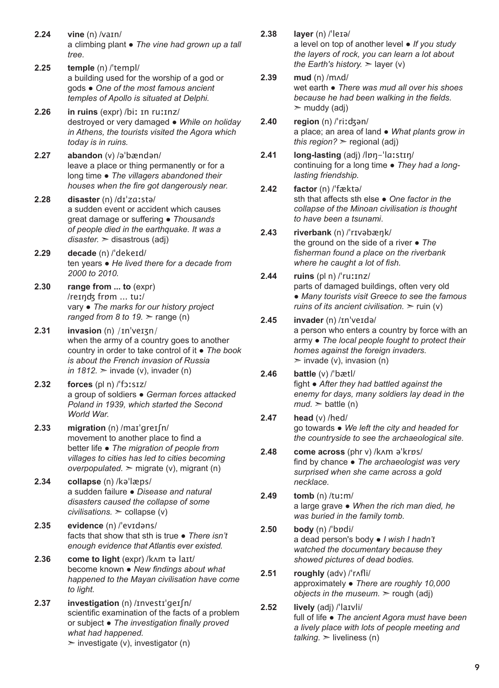- **2.24 vine** (n) /vaɪn/ a climbing plant ● *The vine had grown up a tall tree.*
- **2.25 temple** (n) /ˈtempl/ a building used for the worship of a god or gods ● *One of the most famous ancient temples of Apollo is situated at Delphi.*
- **2.26 in ruins** (expr) /biː ɪn ruːɪnz/ destroyed or very damaged ● *While on holiday in Athens, the tourists visited the Agora which today is in ruins.*
- **2.27 abandon** (v) /əˈbændən/ leave a place or thing permanently or for a long time ● *The villagers abandoned their houses when the fire got dangerously near.*
- **2.28 disaster** (n) /dɪˈzɑːstə/ a sudden event or accident which causes great damage or suffering ● *Thousands of people died in the earthquake. It was a disaster.* ➣ disastrous (adj)
- **2.29 decade** (n) /ˈdekeɪd/ ten years ● *He lived there for a decade from 2000 to 2010.*
- **2.30 range from ... to** (expr) /reɪŋʤ frɒm ... tuː/ vary ● *The marks for our history project ranged from 8 to 19.*  $\geq$  range (n)
- **2.31 invasion** (n) /ɪnˈveɪʒn/ when the army of a country goes to another country in order to take control of it ● *The book is about the French invasion of Russia in 1812.*  $\geq$  invade (v), invader (n)
- **2.32 forces** (pl n) /ˈfɔːsɪz/ a group of soldiers ● *German forces attacked Poland in 1939, which started the Second World War.*
- **2.33 migration** (n) /maɪˈgreɪʃn/ movement to another place to find a better life ● *The migration of people from villages to cities has led to cities becoming overpopulated.* ➣ migrate (v), migrant (n)
- **2.34 collapse** (n) /kəˈlæps/ a sudden failure ● *Disease and natural disasters caused the collapse of some civilisations.* ➣ collapse (v)
- **2.35 evidence** (n) /ˈevɪdəns/ facts that show that sth is true ● *There isn't enough evidence that Atlantis ever existed.*
- **2.36 come to light** (expr) /kʌm tə laɪt/ become known ● *New findings about what happened to the Mayan civilisation have come to light.*
- **2.37 investigation** (n) /ɪnvestɪˈgeɪʃn/ scientific examination of the facts of a problem or subject ● *The investigation finally proved what had happened.*   $\triangleright$  investigate (v), investigator (n)
- **2.38 layer** (n) /ˈleɪə/ a level on top of another level ● *If you study the layers of rock, you can learn a lot about the Earth's history.*  $\geq$  layer (v)
- **2.39 mud** (n) /mʌd/ wet earth ● *There was mud all over his shoes because he had been walking in the fields.*   $\mathbf{m}$  muddy (adj)
- **2.40 region** (n) /ˈriːʤən/ a place; an area of land ● *What plants grow in this region?* ➣ regional (adj)
- **2.41 long-lasting** (adj) /lɒŋ-ˈlɑːstɪŋ/ continuing for a long time ● *They had a longlasting friendship.*
- **2.42 factor** (n) /ˈfæktə/ sth that affects sth else ● *One factor in the collapse of the Minoan civilisation is thought to have been a tsunami*.
- **2.43 riverbank** (n) /ˈrɪvəbæŋk/ the ground on the side of a river ● *The fisherman found a place on the riverbank where he caught a lot of fish.*
- **2.44 ruins** (pl n) /ˈruːɪnz/ parts of damaged buildings, often very old ● *Many tourists visit Greece to see the famous ruins of its ancient civilisation.*  $\geq$  ruin (v)
- **2.45 invader** (n) /ɪnˈveɪdə/ a person who enters a country by force with an army ● *The local people fought to protect their homes against the foreign invaders.*   $\geq$  invade (v), invasion (n)
- **2.46 battle** (v) /ˈbætl/ fight ● *After they had battled against the enemy for days, many soldiers lay dead in the*   $mud \geq 5$  battle (n)
- **2.47 head** (v) /hed/ go towards ● *We left the city and headed for the countryside to see the archaeological site.*
- **2.48 come across** (phr v) /kʌm əˈkrɒs/ find by chance ● *The archaeologist was very surprised when she came across a gold necklace.*
- **2.49 tomb** (n) /tuːm/ a large grave ● *When the rich man died, he was buried in the family tomb.*
- **2.50 body** (n) /ˈbɒdi/ a dead person's body ● *I wish I hadn't watched the documentary because they showed pictures of dead bodies.*
- **2.51 roughly** (adv) /ˈrʌfli/ approximately ● *There are roughly 10,000 objects in the museum.* ➣ rough (adj)
- **2.52 lively** (adj) /ˈlaɪvli/ full of life ● *The ancient Agora must have been a lively place with lots of people meeting and*   $t$ *alking.*  $\geq$  liveliness (n)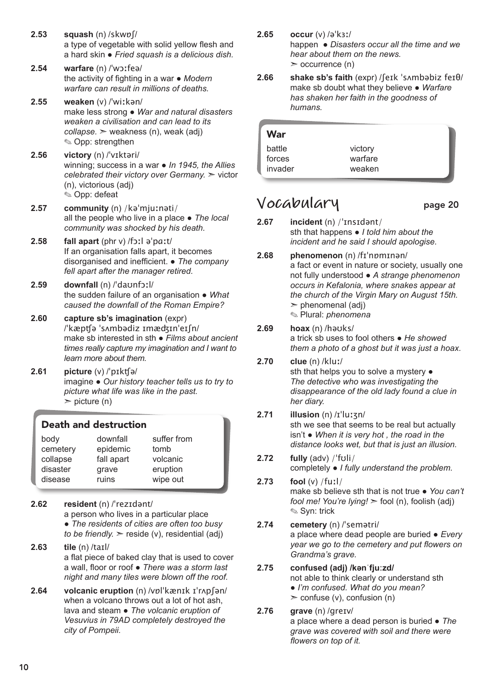- **2.53 squash** (n) /skwɒʃ/ a type of vegetable with solid yellow flesh and a hard skin ● *Fried squash is a delicious dish.*
- **2.54 warfare** (n) /ˈwɔːfeə/ the activity of fighting in a war ● *Modern warfare can result in millions of deaths.*
- **2.55 weaken** (v) /ˈwiːkən/ make less strong ● *War and natural disasters weaken a civilisation and can lead to its collapse.* ➣ weakness (n), weak (adj) ✎ Opp: strengthen
- **2.56 victory** (n) /ˈvɪktəri/ winning; success in a war ● *In 1945, the Allies celebrated their victory over Germany.* ➣ victor (n), victorious (adj) ✎ Opp: defeat
- **2.57 community** (n) /kəˈmjuːnəti/ all the people who live in a place ● *The local community was shocked by his death.*
- **2.58 fall apart** (phr v) /fɔːl əˈpɑːt/ If an organisation falls apart, it becomes disorganised and inefficient. ● *The company fell apart after the manager retired.*
- **2.59 downfall** (n) /ˈdaʊnfɔːl/ the sudden failure of an organisation ● *What caused the downfall of the Roman Empire?*
- **2.60 capture sb's imagination** (expr) /ˈkæpʧə ˈsʌmbədiz ɪmæʤɪnˈeɪʃn/ make sb interested in sth ● *Films about ancient times really capture my imagination and I want to learn more about them.*
- **2.61 picture** (v) /ˈpɪkʧə/ imagine ● *Our history teacher tells us to try to picture what life was like in the past.*   $\triangleright$  picture (n)

### Death and destruction

| body     | downfall   | suffer from |  |
|----------|------------|-------------|--|
| cemetery | epidemic   | tomb        |  |
| collapse | fall apart | volcanic    |  |
| disaster | grave      | eruption    |  |
| disease  | ruins      | wipe out    |  |

- **2.62 resident** (n) /ˈrezɪdənt/ a person who lives in a particular place ● *The residents of cities are often too busy to be friendly.*  $\ge$  reside (v), residential (adj)
- **2.63 tile** (n) /taɪl/ a flat piece of baked clay that is used to cover a wall, floor or roof ● *There was a storm last night and many tiles were blown off the roof.*
- **2.64 volcanic eruption** (n) /vɒlˈkænɪk ɪˈrʌpʃən/ when a volcano throws out a lot of hot ash, lava and steam ● *The volcanic eruption of Vesuvius in 79AD completely destroyed the city of Pompeii.*
- **2.65 occur** (v) /əˈkɜː/ happen ● *Disasters occur all the time and we hear about them on the news.*  $\ge$  occurrence (n)
- **2.66 shake sb's faith** (expr) /ʃeɪk ˈsʌmbəbiz feɪθ/ make sb doubt what they believe ● *Warfare has shaken her faith in the goodness of humans.*

| War     |         |  |
|---------|---------|--|
| battle  | victory |  |
| forces  | warfare |  |
| invader | weaken  |  |

# **Vocabulary** page 20

- **2.67 incident** (n) /ˈɪnsɪdənt/ sth that happens ● *I told him about the incident and he said I should apologise.*
- **2.68 phenomenon** (n) /fɪˈnɒmɪnən/ a fact or event in nature or society, usually one not fully understood ● *A strange phenomenon occurs in Kefalonia, where snakes appear at the church of the Virgin Mary on August 15th.*   $\geq$  phenomenal (adi) ✎ Plural: *phenomena*
- **2.69 hoax** (n) /həʊks/ a trick sb uses to fool others ● *He showed them a photo of a ghost but it was just a hoax.*
- **2.70 clue** (n) /kluː/ sth that helps you to solve a mystery  $\bullet$ *The detective who was investigating the disappearance of the old lady found a clue in her diary.*
- **2.71 illusion** (n) /ɪˈluːʒn/ sth we see that seems to be real but actually isn't ● *When it is very hot , the road in the distance looks wet, but that is just an illusion.*
- **2.72 fully** (adv) /ˈfʊli/ completely ● *I fully understand the problem.*
- **2.73 fool** (v) /fuːl/ make sb believe sth that is not true ● *You can't fool me! You're lying!* ➣ fool (n), foolish (adj) ✎ Syn: trick
- **2.74 cemetery** (n) /ˈsemətri/ a place where dead people are buried ● *Every year we go to the cemetery and put flowers on Grandma's grave.*

### **2.75 confused (adj) /kənˈfjuːzd/**

not able to think clearly or understand sth ● *I'm confused. What do you mean?*  $\ge$  confuse (v), confusion (n)

**2.76 grave** (n) /greɪv/ a place where a dead person is buried ● *The grave was covered with soil and there were flowers on top of it.*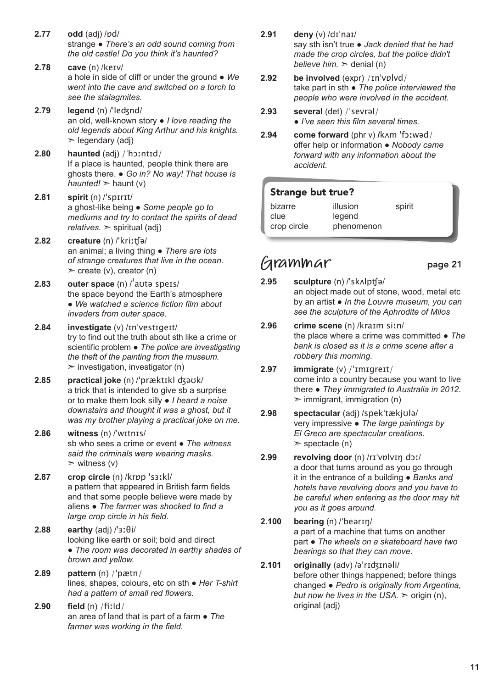- **2.77 odd** (adj) /ɒd/ strange ● *There's an odd sound coming from the old castle! Do you think it's haunted?*
- **2.78 cave** (n) /keɪv/ a hole in side of cliff or under the ground ● *We went into the cave and switched on a torch to see the stalagmites.*
- 2.79 **legend** (n) /'lectand/ an old, well-known story ● *I love reading the old legends about King Arthur and his knights.*   $\geq$  legendary (adj)
- **2.80 haunted** (adj) /ˈhɔːntɪd/ If a place is haunted, people think there are ghosts there. ● *Go in? No way! That house is haunted!*  $\ge$  haunt (v)
- **2.81 spirit** (n) /ˈspɪrɪt/ a ghost-like being ● *Some people go to mediums and try to contact the spirits of dead relatives.* ➣ spiritual (adj)
- **2.82 creature** (n) /ˈkriːʧə/ an animal; a living thing ● *There are lots of strange creatures that live in the ocean.*   $\ge$  create (v), creator (n)
- **2.83 outer space** (n) /ˈaʊtə speɪs/ the space beyond the Earth's atmosphere ● *We watched a science fiction film about invaders from outer space.*
- **2.84 investigate** (v) /ɪnˈvestɪgeɪt/ try to find out the truth about sth like a crime or scientific problem ● *The police are investigating the theft of the painting from the museum.*   $\triangleright$  investigation, investigator (n)
- **2.85 practical joke** (n) /ˈpræktɪkl ʤəʊk/ a trick that is intended to give sb a surprise or to make them look silly ● *I heard a noise downstairs and thought it was a ghost, but it was my brother playing a practical joke on me.*
- **2.86 witness** (n) /ˈwɪtnɪs/ sb who sees a crime or event ● *The witness said the criminals were wearing masks.*   $>$  witness (v)
- **2.87 crop circle** (n) /krɒp ˈsɜːkl/ a pattern that appeared in British farm fields and that some people believe were made by aliens ● *The farmer was shocked to find a large crop circle in his field.*
- **2.88 earthy** (adj) /ˈɜːθi/ looking like earth or soil; bold and direct ● *The room was decorated in earthy shades of brown and yellow.*
- **2.89 pattern** (n) /ˈpætn/ lines, shapes, colours, etc on sth ● *Her T-shirt had a pattern of small red flowers.*
- **2.90 field** (n) /fiːld/ an area of land that is part of a farm ● *The farmer was working in the field.*
- **2.91 deny** (v) /dɪˈnaɪ/ say sth isn't true ● *Jack denied that he had made the crop circles, but the police didn't believe him.* ➣ denial (n)
- **2.92 be involved** (expr) /ɪnˈvɒlvd/ take part in sth ● *The police interviewed the people who were involved in the accident.*
- **2.93 several** (det) /ˈsevrəl/ ● *I've seen this film several times.*
- **2.94 come forward** (phr v) **/**kʌm ˈfɔːwəd/ offer help or information ● *Nobody came forward with any information about the accident.*

### Strange but true?

| bizarre     | illusion   | spirit |
|-------------|------------|--------|
| clue        | legend     |        |
| crop circle | phenomenon |        |

### **Grammar** page 21

- **2.95 sculpture** (n) /ˈskʌlpʧə/ an object made out of stone, wood, metal etc by an artist ● *In the Louvre museum, you can see the sculpture of the Aphrodite of Milos*
- **2.96 crime scene** (n) /kraɪm siːn/ the place where a crime was committed ● *The bank is closed as it is a crime scene after a robbery this morning.*
- **2.97 immigrate** (v) /ˈɪmɪɡreɪt/ come into a country because you want to live there ● *They immigrated to Australia in 2012.*   $\geq$  immigrant, immigration (n)
- **2.98 spectacular** (adj) /spekˈtækjʊlə/ very impressive ● *The large paintings by El Greco are spectacular creations.*   $\ge$  spectacle (n)
- **2.99 revolving door** (n) /rɪˈvɒlvɪŋ dɔː/ a door that turns around as you go through it in the entrance of a building ● *Banks and hotels have revolving doors and you have to be careful when entering as the door may hit you as it goes around.*
- **2.100 bearing** (n) /ˈbeərɪŋ/ a part of a machine that turns on another part ● *The wheels on a skateboard have two bearings so that they can move*.
- **2.101 originally** (adv) /əˈrɪʤɪnəli/ before other things happened; before things changed ● *Pedro is originally from Argentina, but now he lives in the USA.* ➣ origin (n), original (adj)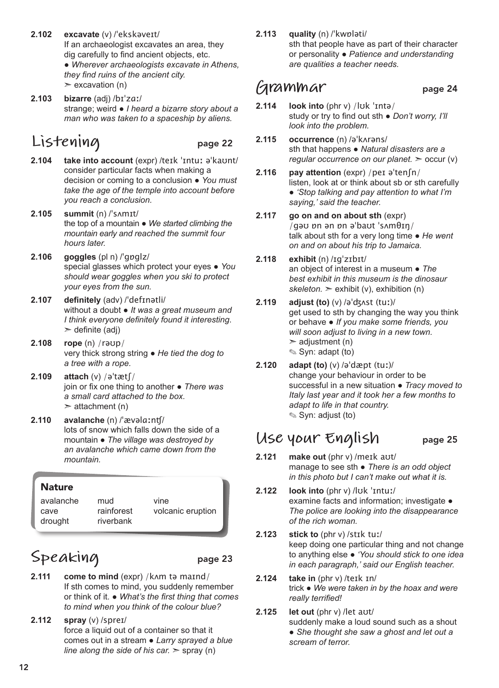- **2.102 excavate** (v) /ˈekskəveɪt/ If an archaeologist excavates an area, they dig carefully to find ancient objects, etc. ● *Wherever archaeologists excavate in Athens, they find ruins of the ancient city.*   $\ge$  excavation (n)
- **2.103 bizarre** (adj) /bɪˈzɑː/ strange; weird ● *I heard a bizarre story about a man who was taken to a spaceship by aliens.*

# **Listening** page 22

- **2.104 take into account** (expr) /teɪk ˈɪntuː əˈkaʊnt/ consider particular facts when making a decision or coming to a conclusion ● *You must take the age of the temple into account before you reach a conclusion.*
- **2.105 summit** (n) /ˈsʌmɪt/ the top of a mountain ● *We started climbing the mountain early and reached the summit four hours later.*
- **2.106 goggles** (pl n) /ˈgɒglz/ special glasses which protect your eyes ● *You should wear goggles when you ski to protect your eyes from the sun.*
- **2.107 definitely** (adv) /ˈdefɪnətli/ without a doubt ● *It was a great museum and I think everyone definitely found it interesting*.  $\ge$  definite (adj)
- **2.108 rope** (n) /rəʊp/ very thick strong string ● *He tied the dog to a tree with a rope.*
- **2.109 attach** (v) /əˈtætʃ/ join or fix one thing to another ● *There was a small card attached to the box.*  $\geq$  attachment (n)
- **2.110 avalanche** (n) /ˈævəlɑːnʧ/ lots of snow which falls down the side of a mountain ● *The village was destroyed by an avalanche which came down from the mountain.*

| <b>Nature</b> |            |                   |
|---------------|------------|-------------------|
| avalanche     | mud        | vine              |
| cave          | rainforest | volcanic eruption |
| drought       | riverbank  |                   |

# Speaking page 23

- **2.111 come to mind** (expr) /kam tə maind/ If sth comes to mind, you suddenly remember or think of it. ● *What's the first thing that comes to mind when you think of the colour blue?*
- **2.112 spray** (v) /spreɪ/ force a liquid out of a container so that it comes out in a stream ● *Larry sprayed a blue line along the side of his car.*  $\ge$  spray (n)

**2.113 quality** (n) /ˈkwɒləti/

sth that people have as part of their character or personality ● *Patience and understanding are qualities a teacher needs.*

## **Grammar** page 24

- **2.114 look into** (phr v) /lʊk ˈɪntə/ study or try to find out sth ● *Don't worry, I'll look into the problem.*
- **2.115 occurrence** (n) /əˈkʌrəns/ sth that happens ● *Natural disasters are a regular occurrence on our planet.* ➣ occur (v)
- **2.116 pay attention** (expr) /peɪ əˈtenʃn/ listen, look at or think about sb or sth carefully ● *'Stop talking and pay attention to what I'm saying,' said the teacher.*
- **2.117 go on and on about sth** (expr) /ɡəʊ ɒn ən ɒn əˈbaʊt ˈsʌmθɪŋ/ talk about sth for a very long time ● *He went on and on about his trip to Jamaica.*
- **2.118 exhibit** (n) /ɪgˈzɪbɪt/ an object of interest in a museum ● *The best exhibit in this museum is the dinosaur*   $skeleton.$   $\ge$  exhibit (v), exhibition (n)
- **2.119 adjust (to)** (v) /əˈʤʌst (tuː)/ get used to sth by changing the way you think or behave ● *If you make some friends, you will soon adjust to living in a new town.*   $\geq$  adjustment (n) ✎ Syn: adapt (to)
- **2.120 adapt (to)** (v) /əˈdæpt (tuː)/ change your behaviour in order to be successful in a new situation ● *Tracy moved to Italy last year and it took her a few months to adapt to life in that country.* ✎ Syn: adjust (to)

### **Use your English** page 25

- **2.121 make out** (phr v) /meɪk aʊt/ manage to see sth ● *There is an odd object in this photo but I can't make out what it is.*
- **2.122 look into** (phr v) /lʊk ˈɪntuː/ examine facts and information; investigate ● *The police are looking into the disappearance of the rich woman.*
- **2.123 stick to** (phr v) /stɪk tuː/ keep doing one particular thing and not change to anything else ● *'You should stick to one idea in each paragraph,' said our English teacher.*
- **2.124 take in** (phr v) /teɪk ɪn/ trick ● *We were taken in by the hoax and were really terrified!*
- **2.125 let out** (phr v) /let aʊt/ suddenly make a loud sound such as a shout ● *She thought she saw a ghost and let out a scream of terror.*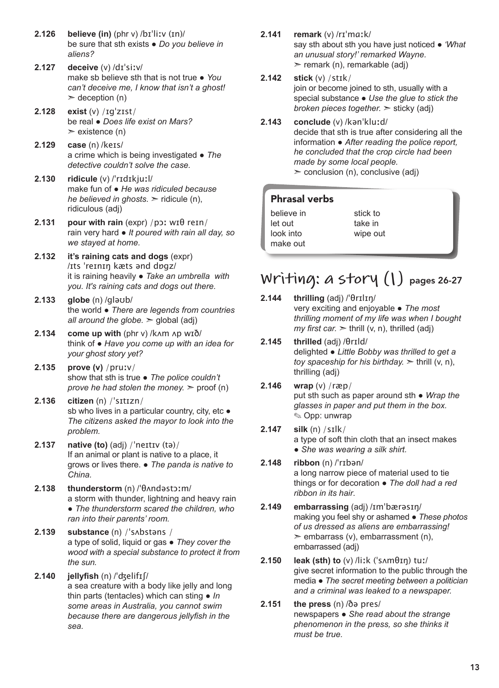- **2.126 believe (in)** (phr v) /bɪˈliːv (ɪn)/ be sure that sth exists ● *Do you believe in aliens?*
- **2.127 deceive** (v) /dɪˈsiːv/ make sb believe sth that is not true ● *You can't deceive me, I know that isn't a ghost!*  $\geq$  deception (n)
- **2.128 exist** (v) /ɪɡˈzɪst/ be real ● *Does life exist on Mars?*  $\ge$  existence (n)
- **2.129 case** (n) /keɪs/ a crime which is being investigated ● *The detective couldn't solve the case.*
- **2.130 ridicule** (v) /ˈrɪdɪkjuːl/ make fun of ● *He was ridiculed because he believed in ghosts.* ► ridicule (n), ridiculous (adj)
- **2.131 pour with rain** (expr) /pɔː wɪθ reɪn/ rain very hard ● *It poured with rain all day, so we stayed at home.*
- **2.132 it's raining cats and dogs** (expr) /ɪts ˈreɪnɪŋ kæts ənd dɒgz/ it is raining heavily ● *Take an umbrella with you. It's raining cats and dogs out there.*
- **2.133 globe** (n) /gləʊb/ the world ● *There are legends from countries all around the globe.* ➣ global (adj)
- **2.134 come up with** (phr v) /kʌm ʌp wɪð/ think of ● *Have you come up with an idea for your ghost story yet?*
- **2.135 prove (v)** /pruːv/ show that sth is true ● *The police couldn't prove he had stolen the money.*  $\ge$  proof (n)
- **2.136 citizen** (n) /ˈsɪtɪzn/ sb who lives in a particular country, city, etc • *The citizens asked the mayor to look into the problem.*
- **2.137 native (to)** (adj) /ˈneɪtɪv (tə)/ If an animal or plant is native to a place, it grows or lives there. ● *The panda is native to China.*
- **2.138 thunderstorm** (n) /ˈθʌndəstɔːm/ a storm with thunder, lightning and heavy rain ● *The thunderstorm scared the children, who ran into their parents' room.*
- **2.139 substance** (n) /ˈsʌbstəns / a type of solid, liquid or gas ● *They cover the wood with a special substance to protect it from the sun.*
- **2.140 jellyfish** (n) /ˈʤelifɪʃ/ a sea creature with a body like jelly and long thin parts (tentacles) which can sting ● *In some areas in Australia, you cannot swim because there are dangerous jellyfish in the sea.*
- **2.141 remark** (v) /rɪˈmɑːk/ say sth about sth you have just noticed ● *'What an unusual story!' remarked Wayne.*   $\ge$  remark (n), remarkable (adj)
- **2.142 stick** (v) /stɪk/ join or become joined to sth, usually with a special substance ● *Use the glue to stick the broken pieces together.* ➣ sticky (adj)
- **2.143 conclude** (v) /kənˈkluːd/ decide that sth is true after considering all the information ● *After reading the police report, he concluded that the crop circle had been made by some local people.*   $\geq$  conclusion (n), conclusive (adj)

### Phrasal verbs

| believe in | stick to |
|------------|----------|
| let out    | take in  |
| look into  | wipe out |
| make out   |          |

# **Writing: a story (1)** pages 26-27

### **2.144 thrilling** (adj) /ˈθrɪlɪŋ/

very exciting and enjoyable ● *The most thrilling moment of my life was when I bought my first car.*  $\ge$  thrill (v, n), thrilled (adj)

- **2.145 thrilled** (adj) /θrɪld/ delighted ● *Little Bobby was thrilled to get a toy spaceship for his birthday.* ➣ thrill (v, n), thrilling (adj)
- **2.146 wrap** (v) /ræp/ put sth such as paper around sth ● *Wrap the glasses in paper and put them in the box.*  ✎ Opp: unwrap
- **2.147 silk** (n) /sɪlk/ a type of soft thin cloth that an insect makes
	- *She was wearing a silk shirt.*
- **2.148 ribbon** (n) /ˈrɪbən/ a long narrow piece of material used to tie things or for decoration ● *The doll had a red ribbon in its hair*.
- **2.149 embarrassing** (adj) /ɪmˈbærəsɪŋ/ making you feel shy or ashamed ● *These photos of us dressed as aliens are embarrassing!*   $\ge$  embarrass (v), embarrassment (n), embarrassed (adj)
- **2.150 leak (sth) to** (v) /liːk (ˈsʌmθɪŋ) tuː/ give secret information to the public through the media ● *The secret meeting between a politician and a criminal was leaked to a newspaper.*
- **2.151 the press** (n) /ðə pres/ newspapers ● *She read about the strange phenomenon in the press, so she thinks it must be true.*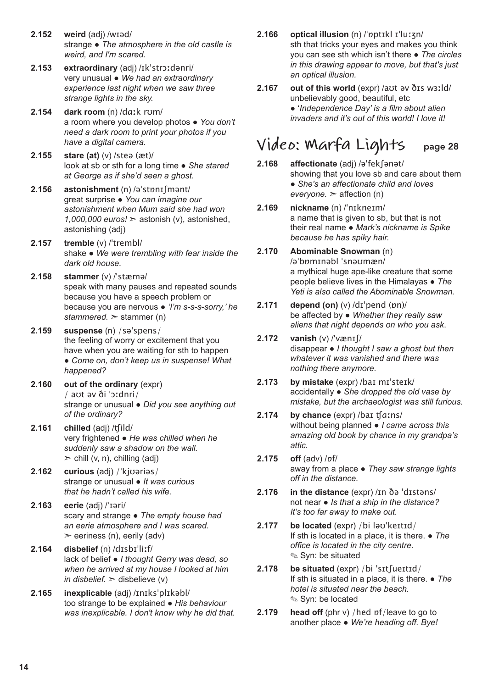- **2.152 weird** (adj) /wɪəd/ strange ● *The atmosphere in the old castle is weird, and I'm scared.*
- **2.153 extraordinary** (adj) /ɪkˈstrɔːdənri/ very unusual ● *We had an extraordinary experience last night when we saw three strange lights in the sky.*
- **2.154 dark room** (n) /dɑːk rʊm/ a room where you develop photos ● *You don't need a dark room to print your photos if you have a digital camera.*
- **2.155 stare (at)** (v) /steə (æt)/ look at sb or sth for a long time ● *She stared at George as if she'd seen a ghost.*
- **2.156 astonishment** (n) /əˈstɒnɪʃmənt/ great surprise ● *You can imagine our astonishment when Mum said she had won 1,000,000 euros!* ➣ astonish (v), astonished, astonishing (adj)
- **2.157 tremble** (v) /ˈtrembl/ shake ● *We were trembling with fear inside the dark old house.*
- **2.158 stammer** (v) /ˈstæmə/ speak with many pauses and repeated sounds because you have a speech problem or because you are nervous ● *'I'm s-s-s-sorry,' he stammered.* ➣ stammer (n)
- **2.159 suspense** (n) /səˈspens/ the feeling of worry or excitement that you have when you are waiting for sth to happen ● *Come on, don't keep us in suspense! What happened?*
- **2.160 out of the ordinary** (expr) / aʊt əv ði ˈɔːdnri/ strange or unusual ● *Did you see anything out of the ordinary?*
- **2.161 chilled** (adj) /ʧild/ very frightened ● *He was chilled when he suddenly saw a shadow on the wall.*  $\ge$  chill (v, n), chilling (adj)
- **2.162 curious** (adj) /ˈkjʊəriəs/ strange or unusual ● *It was curious that he hadn't called his wife.*
- **2.163 eerie** (adj) /ˈɪəri/ scary and strange ● *The empty house had an eerie atmosphere and I was scared.*   $\ge$  eeriness (n), eerily (adv)
- **2.164 disbelief** (n) /dɪsbɪˈliːf/ lack of belief ● *I thought Gerry was dead, so when he arrived at my house I looked at him in disbelief.*  $>$  disbelieve (v)
- **2.165 inexplicable** (adj) /ɪnɪksˈplɪkəbl/ too strange to be explained ● *His behaviour was inexplicable. I don't know why he did that.*
- **2.166 optical illusion** (n) /ˈɒptɪkl ɪˈluːʒn/ sth that tricks your eyes and makes you think you can see sth which isn't there ● *The circles in this drawing appear to move, but that's just an optical illusion.*
- **2.167 out of this world** (expr) /aʊt əv ðɪs wɜːld/ unbelievably good, beautiful, etc ● '*Independence Day' is a film about alien invaders and it's out of this world! I love it!*

# **Video: Marfa Lights** page 28

- **2.168 affectionate** (adj) /əˈfekʃənət/ showing that you love sb and care about them ● *She's an affectionate child and loves everyone.* ➣ affection (n)
- **2.169 nickname** (n) /ˈnɪkneɪm/ a name that is given to sb, but that is not their real name ● *Mark's nickname is Spike because he has spiky hair.*
- **2.170 Abominable Snowman** (n) /əˈbɒmɪnəbl ˈsnəʊmæn/ a mythical huge ape-like creature that some people believe lives in the Himalayas ● *The Yeti is also called the Abominable Snowman.*
- **2.171 depend (on)** (v) /dɪˈpend (ɒn)/ be affected by ● *Whether they really saw aliens that night depends on who you ask*.
- **2.172 vanish** (v) /ˈvænɪʃ/ disappear ● *I thought I saw a ghost but then whatever it was vanished and there was nothing there anymore.*
- **2.173 by mistake** (expr) /baɪ mɪˈsteɪk/ accidentally ● *She dropped the old vase by mistake, but the archaeologist was still furious.*
- **2.174 by chance** (expr) /baɪ ʧɑːns/ without being planned ● *I came across this amazing old book by chance in my grandpa's attic.*
- **2.175 off** (adv) /ɒf/ away from a place ● *They saw strange lights off in the distance.*
- **2.176 in the distance** (expr) /ɪn ðə ˈdɪstəns/ not near ● *Is that a ship in the distance? It's too far away to make out.*
- **2.177 be located** (expr) /bi ləʊˈkeɪtɪd/ If sth is located in a place, it is there. ● *The office is located in the city centre.* ✎ Syn: be situated
- **2.178 be situated** (expr) /bi ˈsɪtʃueɪtɪd/ If sth is situated in a place, it is there. ● *The hotel is situated near the beach.*  ✎ Syn: be located
- **2.179** head off (phr v) / hed pf/leave to go to another place ● *We're heading off. Bye!*